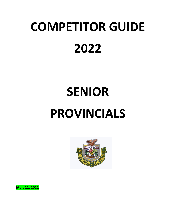# **COMPETITOR GUIDE 2022**

# **SENIOR PROVINCIALS**



**Mar. 11, 2022**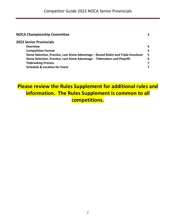| <b>NOCA Championship Committee</b>                                                |    |
|-----------------------------------------------------------------------------------|----|
| <b>2022 Senior Provincials</b>                                                    |    |
| <b>Overview</b>                                                                   | 4  |
| <b>Competition Format</b>                                                         | 5  |
| Stone Selection, Practice, Last Stone Advantage - Round Robin and Triple Knockout | -5 |
| Stone Selection, Practice, Last Stone Advantage - Tiebreakers and Playoffs        | 6  |
| <b>Tiebreaking Process</b>                                                        | 7  |
| <b>Schedule &amp; Location for Event</b>                                          | 7  |
|                                                                                   |    |

## **Please review the Rules Supplement for additional rules and information. The Rules Supplement is common to all competitions.**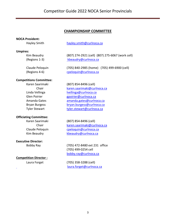#### **CHAMPIONSHIP COMMITTEE**

#### **NOCA President:**

#### **Umpires:**

#### **Competitions Committee:**

#### **Officiating Committee:**

#### **Executive Director:**

#### **Competition Director :**

Hayley Smith hayley.smith@curlnoca.ca

Kim Beaudry (807) 274-2921 (cell) (807) 275-6067 (work cell) (Regions 1-3) kbeaudry@curlnoca.ca

Claude Peloquin (705) 840-2985 (home) (705) 499-6900 (cell) (Regions 4-6) cpeloquin@curlnoca.ca

#### Karen Saarimaki (807) 854-8496 (cell)

Chair karen.saarimaki@curlnoca.ca Linda Vellinga **linga@curlnoca.ca** Glen Poirier entering the george group of the george group of the george of the george group of the george group of the george group of the george group of the george group of the george group of the george group of the ge Amanda Gates amanda.gates@curlnoca.ca Bryan Burgess bryan.burgess@curlnoca.ca Tyler Stewart tyler.stewart@curlnoca.ca

Karen Saarimaki (807) 854-8496 (cell) Chair karen.saarimaki@curlnoca.ca Claude Peloquin cpeloquin@curlnoca.ca Kim Beaudry **Kheaudry@curlnoca.ca** 

Bobby Ray (705) 472-8480 ext 231 office (705) 499-0254 cell bobby.ray@curlnoca.ca

Laura Forget (705) 358-3288 (cell) laura.forget@curlnoca.ca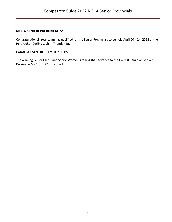#### **NOCA SENIOR PROVINCIALS:**

Congratulations! Your team has qualified for the Senior Provincials to be held April 20 – 24, 2022 at the Port Arthur Curling Club in Thunder Bay.

#### **CANADIAN SENIOR CHAMPIONSHIPS:**

The winning Senior Men's and Senior Women's teams shall advance to the Everest Canadian Seniors December 5 – 10, 2022 Location TBD.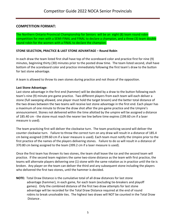#### **COMPETITION FORMAT:**

The Northern Ontario Provincial Championship for Seniors will be an eight (8) team round robin competition for men with a SEMI-FINAL and FINAL to declare a champion, and a three (3) team double round robin for the women with a FINAL to declare the champion.

#### **STONE SELECTION, PRACTICE & LAST STONE ADVANTAGE – Round Robin**

In each draw the team listed first shall have top of the scoreboard color and practice first for nine (9) minutes, beginning thirty (30) minutes prior to the posted draw time. The team listed second, shall have bottom of the scoreboard color and practice immediately following the first team's draw to the button for last stone advantage.

A team is allowed to throw its own stones during practice and not those of the opposition.

#### **Last Stone Advantage**:

Last stone advantage in the first end (hammer) will be decided by a draw to the button following each team's nine (9) minute pre-game practice. Two different players from each team will each deliver a stone (full sweeping allowed, one player must hold the target broom) and the better total distance of the two draws between the two teams will receive last stone advantage in the first end. Each player has a maximum of one minute to throw the draw shot after the pre-game practice and the Umpire's announcement. Stones not delivered within the time allotted by the umpire will be assigned a distance of 185.40 cm - the stone must reach the nearer tee line before time expires (199.60 cm if a laser measure is used).

The team practicing first will deliver the clockwise turn. The team practicing second will deliver the counter clockwise turn. Failure to throw the correct turn on any draw will result in a distance of 185.4 cm being assigned (199.60 cm if a laser measure is used). Each team must notify the Umpire prior to the first practice of the names of the players delivering stones. Failure to do so will result in a distance of 370.80 cm being assigned to the team (399.2 cm if a laser measure is used).

Once the first team has thrown its two stones, the team shall leave the ice and the second team will practice. If the second team registers the same two-stone distance as the team with first practice, the teams will alternate players delivering one (1) stone with the same rotation as in practice until the tie is broken. Any player on the team can deliver the third and any subsequent stone including the players who delivered the first two stones, until the hammer is decided.

**NOTE:** Total Draw Distance is the cumulative total of all draw distances for last stone advantage (hammer), in each game, for each team (excluding tie-breakers and playoff games). Only the combined distance of the first two draw attempts for last stone advantage will be recorded for the Total Draw Distance required at the end of round robins to break unsolvable ties. The highest two draws will NOT be counted in the Total Draw Distance .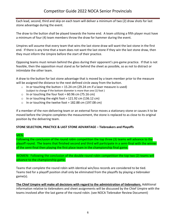Each lead, second, third and skip on each team will deliver a minimum of two (2) draw shots for last stone advantage during the event.

The draw to the button shall be played towards the home end. A team utilizing a fifth player must have a minimum of four (4) team members throw the draw for hammer during the event.

Umpires will assume that every team that wins the last stone draw will want the last stone in the first end. If there is any time that a team does not want the last stone if they win the last stone draw, then they must inform the Umpire before the start of their practice.

Opposing teams must remain behind the glass during their opponent's pre-game practice. If that is not feasible, then the opposition must stand as far behind the sheet as possible, so as not to distract or intimidate the other team.

A draw to the button for last stone advantage that is moved by a team member prior to the measure will be assigned the distance to the next defined circle away from the button.

- $\circ$  In or touching the button = 15.24 cm (29.24 cm if a laser measure is used) (subject to change if the bottom diameter is more than one (1) foot )
- o In or touching the four foot =  $60.96$  cm (75.16 cm)
- o In or touching the eight foot = 121.92 cm (136.12 cm)
- o In or touching the twelve foot = 182.88 cm (197.08 cm)

If a member of the non-delivering team or an external force moves a stationary stone or causes it to be moved before the Umpire completes the measurement, the stone is replaced to as close to its original position by the delivering team.

#### **STONE SELECTION, PRACTICE & LAST STONE ADVANTAGE – Tiebreakers and Playoffs**

#### MEN:

Following the conclusion of the round robin competition the top three (3) teams will advance to the playoff round. The teams that finished second and third will participate in a semi-final with the winner of the semi-final then playing the first place team in the championship final game.

WOMEN: Following the conclusion of the double round robin competition the top two (2) teams will advance to the championship game.

Teams that complete the round robin with identical win/loss records are considered to be tied. Teams tied for a playoff position shall only be eliminated from the playoffs by playing a tiebreaker game(s).

**The Chief Umpire will make all decisions with regard to the administration of tiebreakers.** Additional information relative to tiebreakers and sheet assignments will be discussed by the Chief Umpire with the teams involved after the last game of the round robin. (see NOCA Tiebreaker Review Document)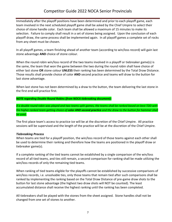### Competitor Guide 2022 NOCA Senior Provincials

Immediately after the playoff positions have been determined and prior to each playoff game, each team involved in the next scheduled playoff game shall be asked by the Chief Umpire to select their choice of stone handle color. Each team shall be allowed a maximum of 15 minutes to make its selection. Failure to comply shall result in a set of stones being assigned. Upon the conclusion of each playoff draw, the same process shall be implemented again. In all playoff games a complete set of rocks from any sheet must be chosen.

In all playoff games, a team finishing ahead of another team (according to win/loss record) will gain last stone advantage **AND** choice of stone colour.

When the round robin win/loss record of the two teams involved in a playoff or tiebreaker game(s) is the same, the team that won the game between the two during the round robin shall have choice of either last stone **OR** stone colour **UNLESS** their ranking has been determined by the Total Draw Distance. Those results shall provide choice of color **AND** second practice and teams will draw to the button for last stone advantage.

When last stone has not been determined by a draw to the button, the team delivering the last stone in the first end will practice first.

*NOTE regarding Double Round Robins (from NOCA tiebreaking document):*

*If a double round robin was played and two teams split games, the teams shall be ranked based on best TDD with the higher ranked team getting choice of color AND second practice and the draw to the button for hammer shall be used.*

The first place team's access to practice ice will be at the discretion of the Chief Umpire. All practice sessions will be supervised and the length of the practice will be at the discretion of the Chief Umpire.

#### *Tiebreaking Process*

When teams are tied for a playoff position, the win/loss record of those teams against each other shall be used to determine their ranking and therefore how the teams are positioned in the playoff draw or tiebreaker game(s).

If a complete ranking of the tied teams cannot be established by a single comparison of the win/loss record of all tied teams, and ties still remain, a second comparison for ranking shall be made utilizing the win/loss records of only the remaining tied teams.

When ranking of tied teams eligible for the playoffs cannot be established by successive comparisons of win/loss records, i.e. unsolvable ties, only those teams that remain tied after such comparisons shall be ranked by implementing the ranking based on the Total Draw Distance of pre-game draw shots to the button for last stone advantage (the highest two draw shots will NOT be counted). The least accumulated distance shall receive the highest ranking until the ranking has been completed.

All tiebreakers shall be played with the stones from the sheet assigned. Stone handles shall not be changed from one set of stones to another.